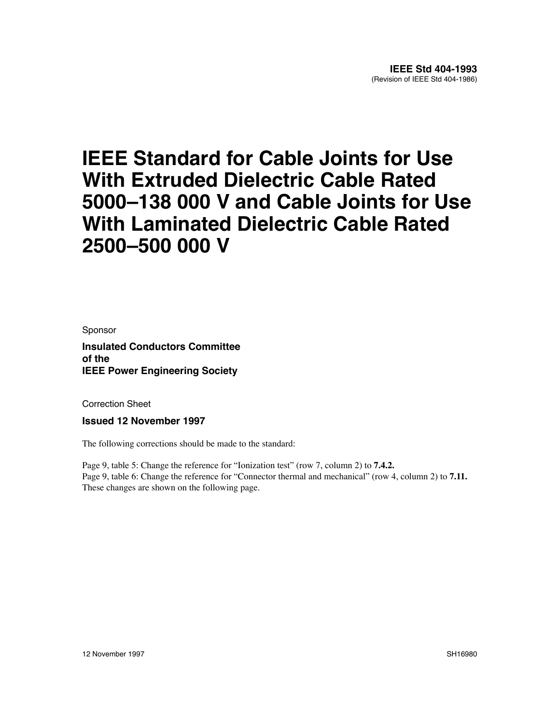## **IEEE Standard for Cable Joints for Use With Extruded Dielectric Cable Rated 5000–138 000 V and Cable Joints for Use With Laminated Dielectric Cable Rated 2500–500 000 V**

Sponsor

**Insulated Conductors Committee of the IEEE Power Engineering Society**

Correction Sheet

**Issued 12 November 1997**

The following corrections should be made to the standard:

Page 9, table 5: Change the reference for "Ionization test" (row 7, column 2) to **7.4.2.** Page 9, table 6: Change the reference for "Connector thermal and mechanical" (row 4, column 2) to **7.11.** These changes are shown on the following page.